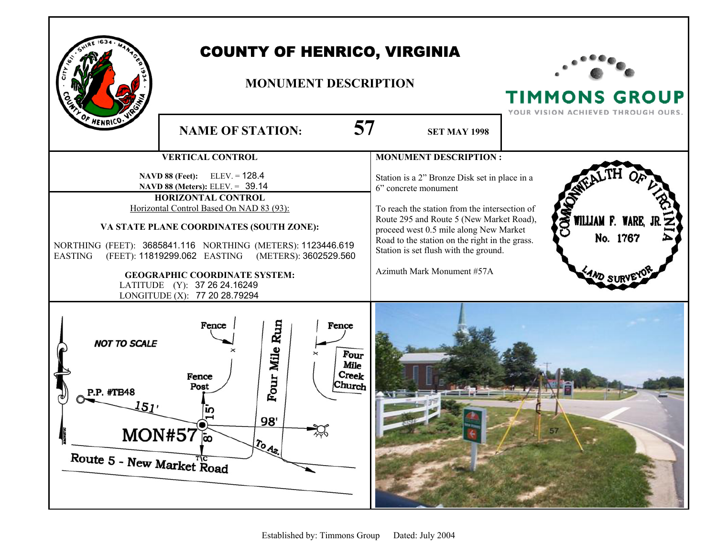